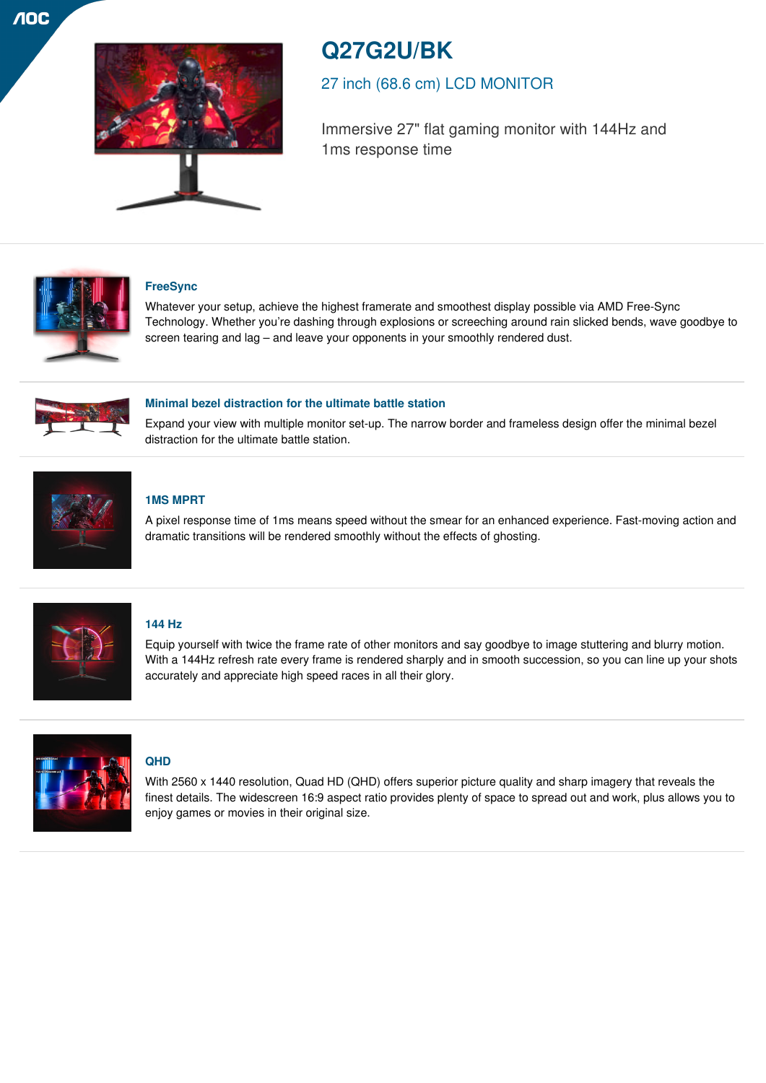

# **Q27G2U/BK**

27 inch (68.6 cm) LCD MONITOR

Immersive 27" flat gaming monitor with 144Hz and 1ms response time



# **FreeSync**

Whatever your setup, achieve the highest framerate and smoothest display possible via AMD Free-Sync Technology. Whether you're dashing through explosions or screeching around rain slicked bends, wave goodbye to screen tearing and lag – and leave your opponents in your smoothly rendered dust.



# **Minimal bezel distraction for the ultimate battle station**

Expand your view with multiple monitor set-up. The narrow border and frameless design offer the minimal bezel distraction for the ultimate battle station.



# **1MS MPRT**

A pixel response time of 1ms means speed without the smear for an enhanced experience. Fast-moving action and dramatic transitions will be rendered smoothly without the effects of ghosting.



# **144 Hz**

Equip yourself with twice the frame rate of other monitors and say goodbye to image stuttering and blurry motion. With a 144Hz refresh rate every frame is rendered sharply and in smooth succession, so you can line up your shots accurately and appreciate high speed races in all their glory.



# **QHD**

With 2560 x 1440 resolution, Quad HD (QHD) offers superior picture quality and sharp imagery that reveals the finest details. The widescreen 16:9 aspect ratio provides plenty of space to spread out and work, plus allows you to enjoy games or movies in their original size.